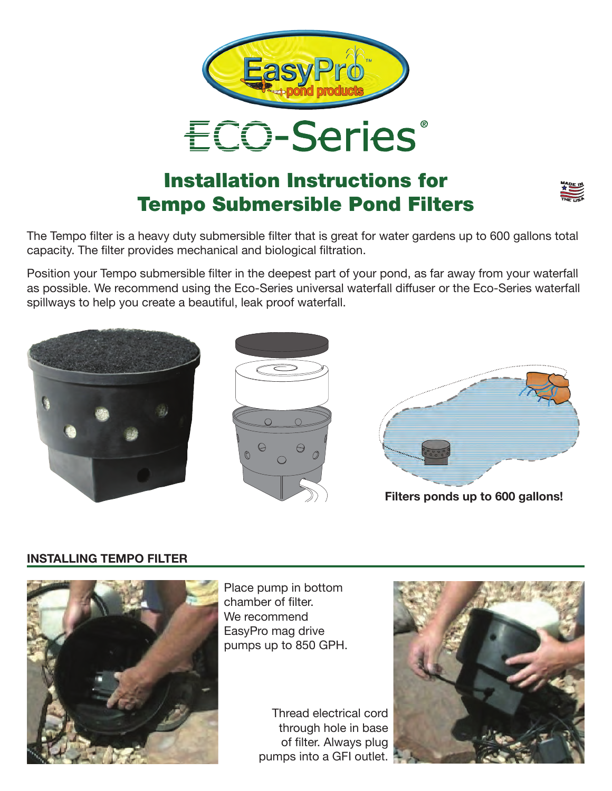



## Installation Instructions for Tempo Submersible Pond Filters



The Tempo filter is a heavy duty submersible filter that is great for water gardens up to 600 gallons total capacity. The filter provides mechanical and biological filtration.

Position your Tempo submersible filter in the deepest part of your pond, as far away from your waterfall as possible. We recommend using the Eco-Series universal waterfall diffuser or the Eco-Series waterfall spillways to help you create a beautiful, leak proof waterfall.



## **INSTALLING TEMPO FILTER**



Place pump in bottom chamber of filter. We recommend EasyPro mag drive pumps up to 850 GPH.

Thread electrical cord through hole in base of filter. Always plug pumps into a GFI outlet.